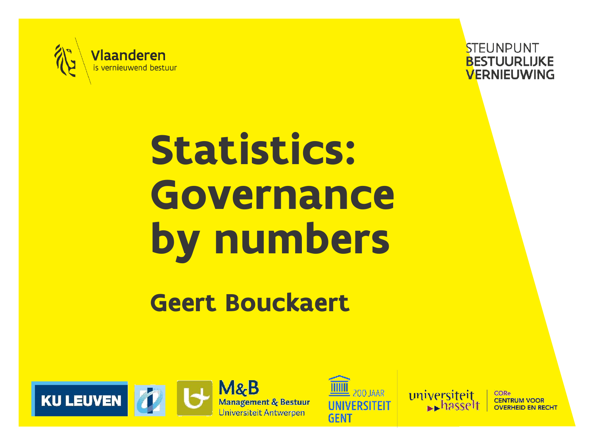



# **Statistics: Governance by numbers**

#### **Geert Bouckaert**









**CORe** 

**CENTRUM VOOR**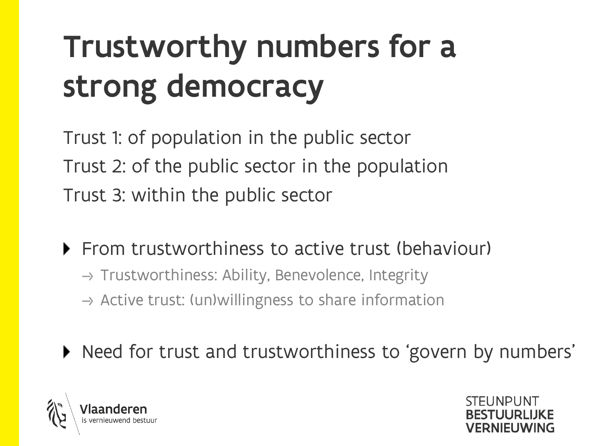### Trustworthy numbers for a strong democracy

Trust 1: of population in the public sector Trust 2: of the public sector in the population Trust 3: within the public sector

**Figm From trustworthiness to active trust (behaviour)** 

- $\rightarrow$  Trustworthiness: Ability, Benevolence, Integrity
- $\rightarrow$  Active trust: (un)willingness to share information
- ▶ Need for trust and trustworthiness to 'govern by numbers'



**STELINDUNT JERNIELIWING**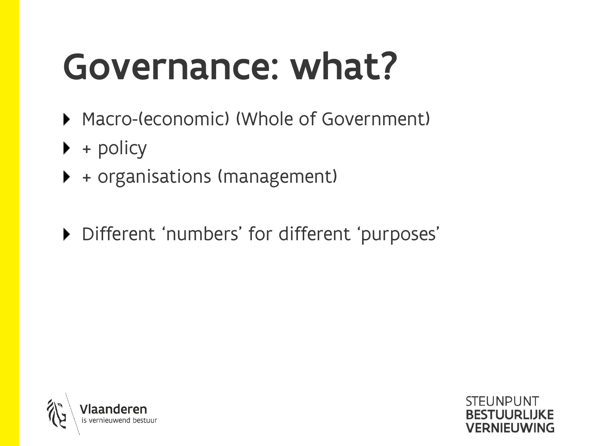## Governance: what?

- ▶ Macro-(economic) (Whole of Government)
- $\blacktriangleright$  + policy
- + organisations (management)
- Different 'numbers' for different 'purposes'

**STELINPLINT** 

**VERNIFUWING** 

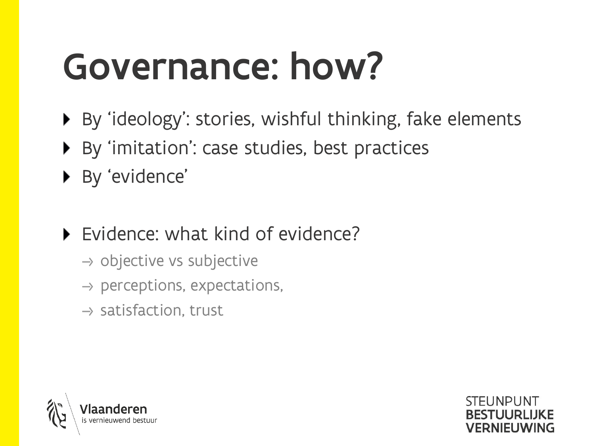## Governance: how?

- ▶ By 'ideology': stories, wishful thinking, fake elements
- ▶ By 'imitation': case studies, best practices
- ▶ By 'evidence'
- ▶ Evidence: what kind of evidence?
	- $\rightarrow$  objective vs subjective
	- $\rightarrow$  perceptions, expectations,
	- $\rightarrow$  satisfaction, trust



**STELINDUNT VERNIELIWING**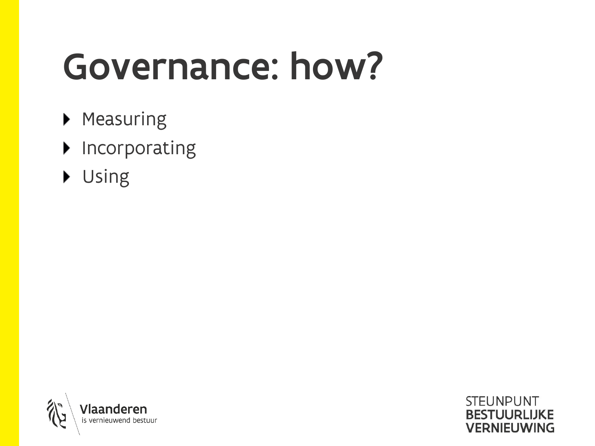## Governance: how?

- **Measuring**
- $\blacktriangleright$  Incorporating
- Using



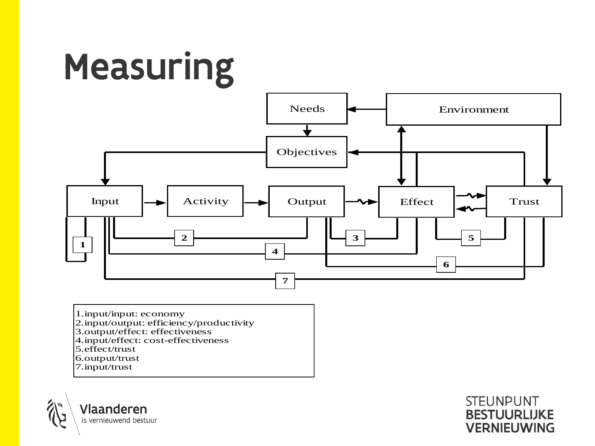

1.input/input: economy 2.input/output: efficiency/productivity 3.output/effect: effectiveness 4.input/effect: cost-effectiveness 5.effect/trust 6.output/trust 7.input/trust

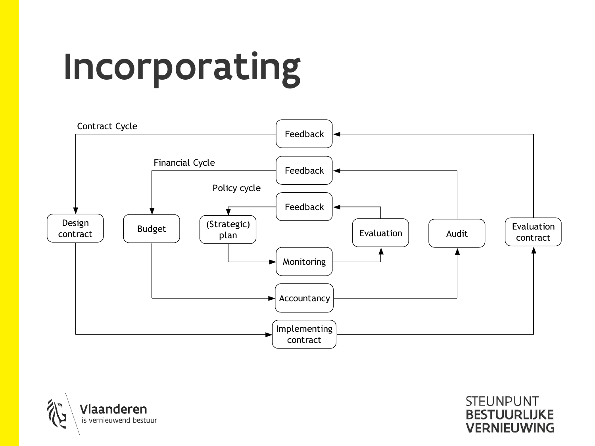# Incorporating



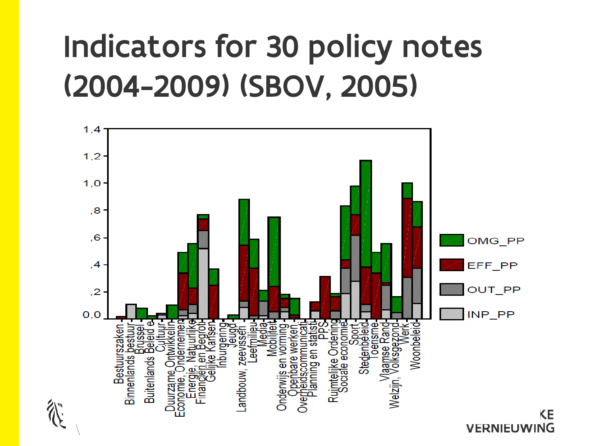### Indicators for 30 policy notes (2004-2009) (SBOV, 2005)

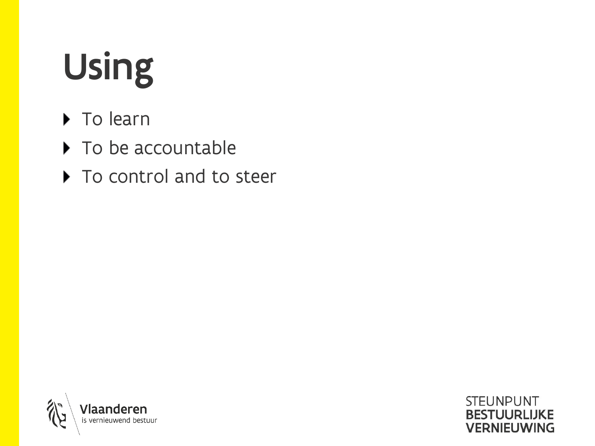# Using

- ▶ To learn
- ▶ To be accountable
- ▶ To control and to steer

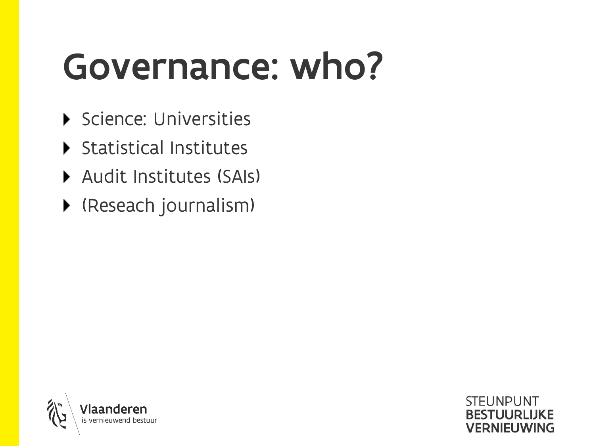## Governance: who?

- Science: Universities
- Statistical Institutes
- Audit Institutes (SAIs)
- (Reseach journalism)

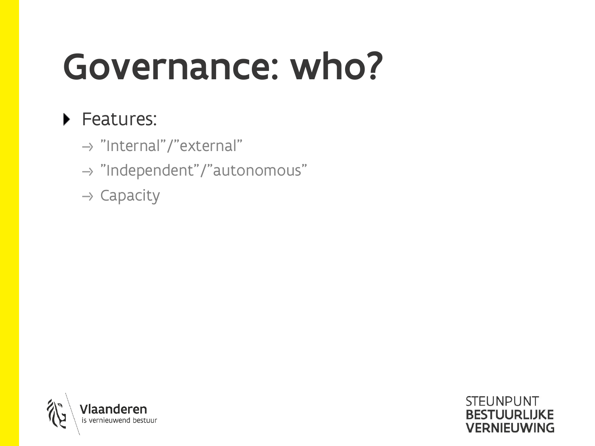## Governance: who?

**STEUNPUNT** 

**BESTUURLIJKE VERNIEUWING** 

#### ▶ Features:

- $\rightarrow$  "Internal"/"external"
- $\rightarrow$  "Independent"/"autonomous"
- $\rightarrow$  Capacity

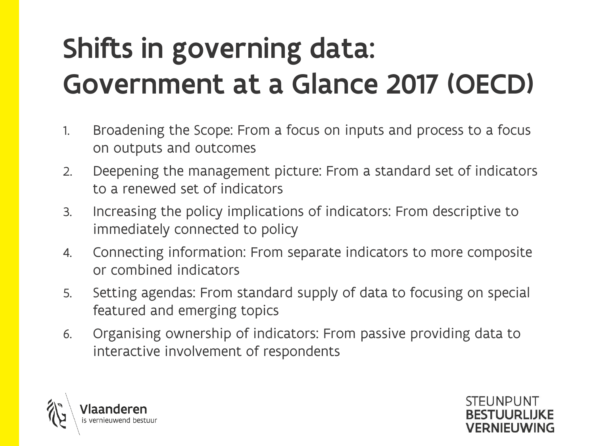### Shifts in governing data: Government at a Glance 2017 (OECD)

- 1. Broadening the Scope: From a focus on inputs and process to a focus on outputs and outcomes
- 2. Deepening the management picture: From a standard set of indicators to a renewed set of indicators
- 3. Increasing the policy implications of indicators: From descriptive to immediately connected to policy
- 4. Connecting information: From separate indicators to more composite or combined indicators
- 5. Setting agendas: From standard supply of data to focusing on special featured and emerging topics
- 6. Organising ownership of indicators: From passive providing data to interactive involvement of respondents

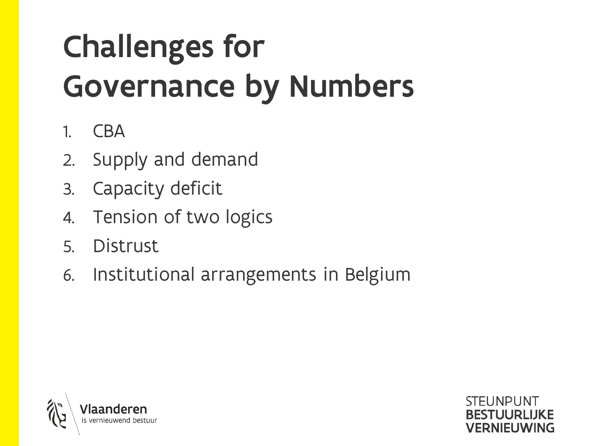### Challenges for Governance by Numbers

- 1. CBA
- 2. Supply and demand
- 3. Capacity deficit
- 4. Tension of two logics
- 5. Distrust
- 6. Institutional arrangements in Belgium



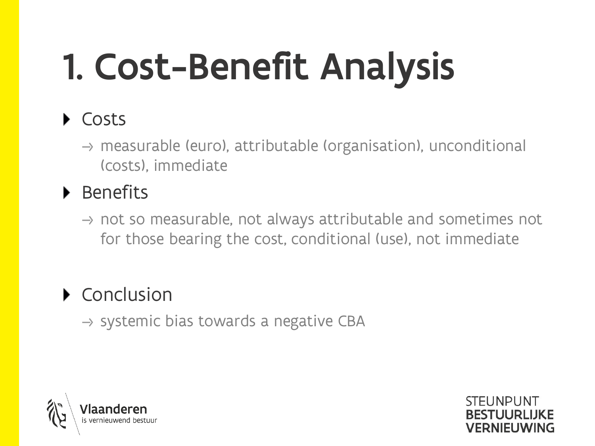# 1. Cost-Benefit Analysis

#### ▶ Costs

 $\rightarrow$  measurable (euro), attributable (organisation), unconditional (costs), immediate

#### $\blacktriangleright$  Benefits

 $\rightarrow$  not so measurable, not always attributable and sometimes not for those bearing the cost, conditional (use), not immediate

#### ▶ Conclusion

 $\rightarrow$  systemic bias towards a negative CBA



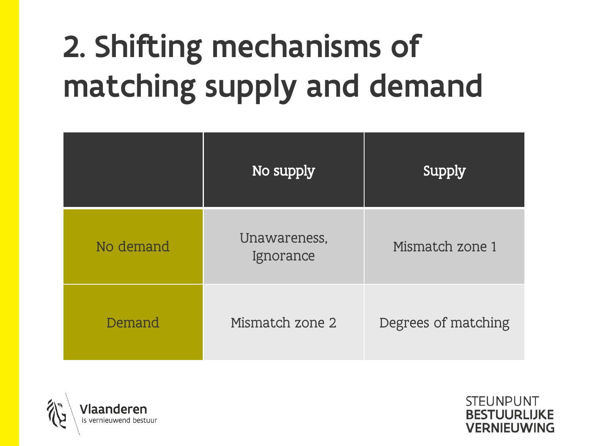### 2. Shifting mechanisms of matching supply and demand

|           | No supply                 | Supply              |
|-----------|---------------------------|---------------------|
| No demand | Unawareness,<br>Ignorance | Mismatch zone 1     |
| Demand    | Mismatch zone 2           | Degrees of matching |



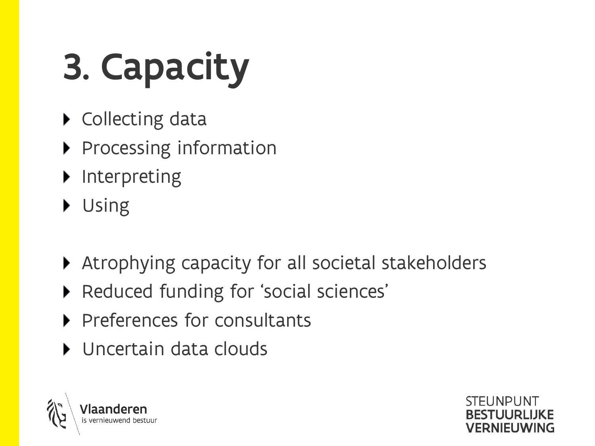# 3. Capacity

- ▶ Collecting data
- Processing information
- $\blacktriangleright$  Interpreting
- Using
- Atrophying capacity for all societal stakeholders

**STELINDLINT** 

**VERNIELIWING** 

- ▶ Reduced funding for 'social sciences'
- Preferences for consultants
- Uncertain data clouds

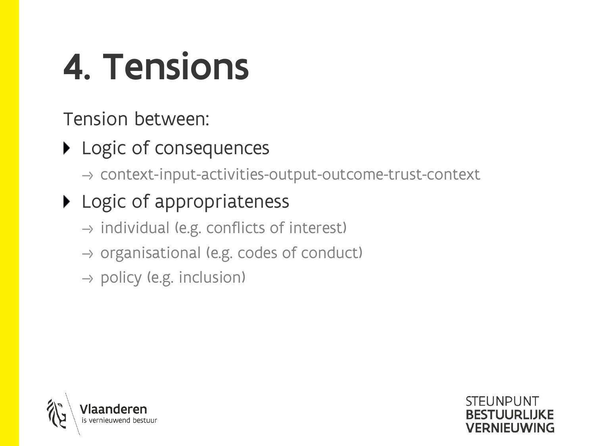## 4. Tensions

Tension between:

▶ Logic of consequences

 $\rightarrow$  context-input-activities-output-outcome-trust-context

**STELINPLINT** 

**BESTUURLIJKE VERNIEUWING** 

#### ▶ Logic of appropriateness

- $\rightarrow$  individual (e.g. conflicts of interest)
- $\rightarrow$  organisational (e.g. codes of conduct)
- $\rightarrow$  policy (e.g. inclusion)

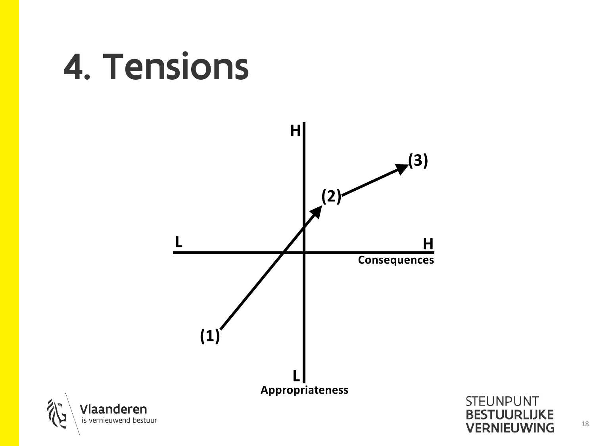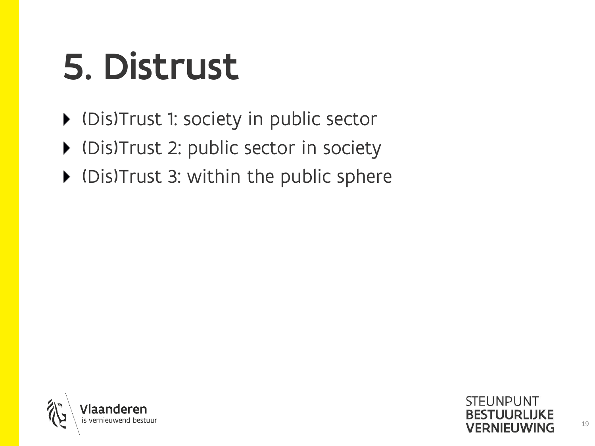## 5. Distrust

- (Dis)Trust 1: society in public sector
- (Dis)Trust 2: public sector in society
- (Dis)Trust 3: within the public sphere

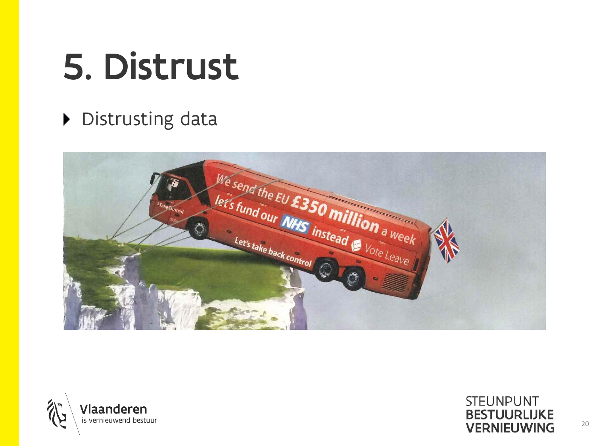## 5. Distrust

#### Distrusting data



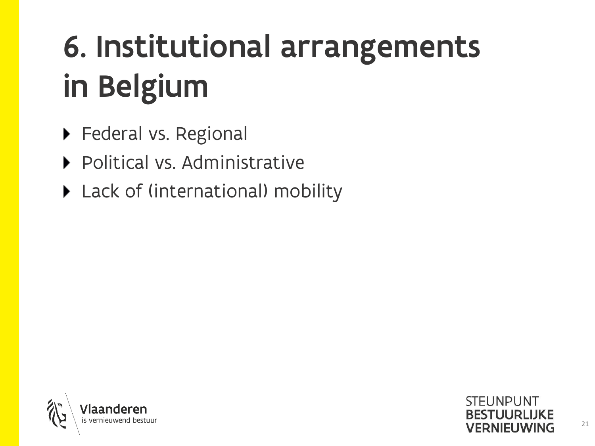### 6. Institutional arrangements in Belgium

- ▶ Federal vs. Regional
- Political vs. Administrative
- ▶ Lack of (international) mobility

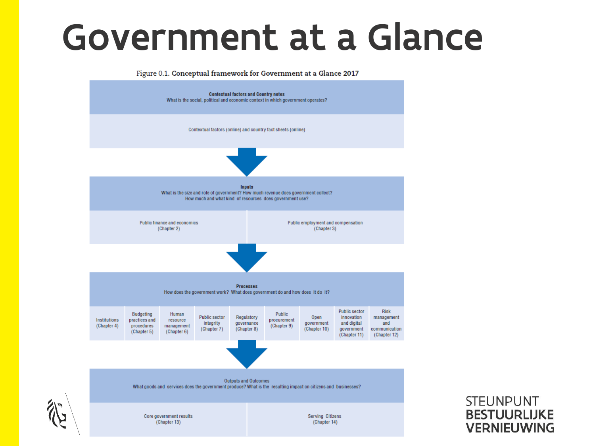### Government at a Glance

Figure 0.1. Conceptual framework for Government at a Glance 2017

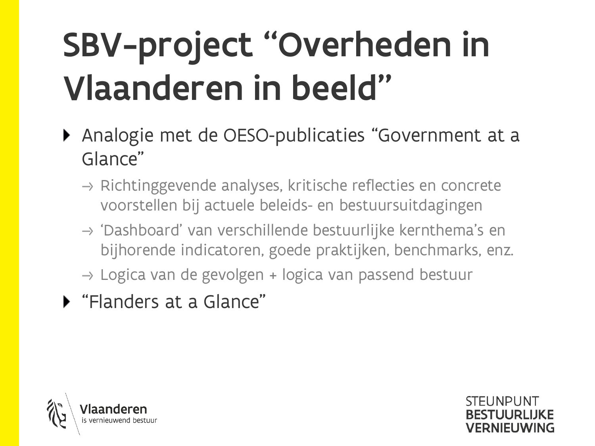## SBV-project "Overheden in Vlaanderen in beeld"

- ▶ Analogie met de OESO-publicaties "Government at a Glance"
	- $\rightarrow$  Richtinggevende analyses, kritische reflecties en concrete voorstellen bij actuele beleids- en bestuursuitdagingen
	- $\rightarrow$  'Dashboard' van verschillende bestuurlijke kernthema's en bijhorende indicatoren, goede praktijken, benchmarks, enz.

**STELINPLINT** 

**VERNIELIWING** 

- $\rightarrow$  Logica van de gevolgen + logica van passend bestuur
- "Flanders at a Glance"

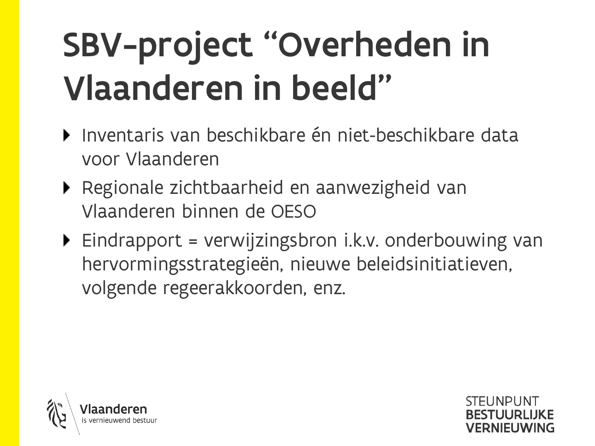## SBV-project "Overheden in Vlaanderen in beeld"

- Inventaris van beschikbare én niet-beschikbare data voor Vlaanderen
- ▶ Regionale zichtbaarheid en aanwezigheid van Vlaanderen binnen de OESO
- $\blacktriangleright$  Eindrapport = verwijzingsbron i.k.v. onderbouwing van hervormingsstrategieën, nieuwe beleidsinitiatieven, volgende regeerakkoorden, enz.



STELINDLINT **/FRNIFLIWING**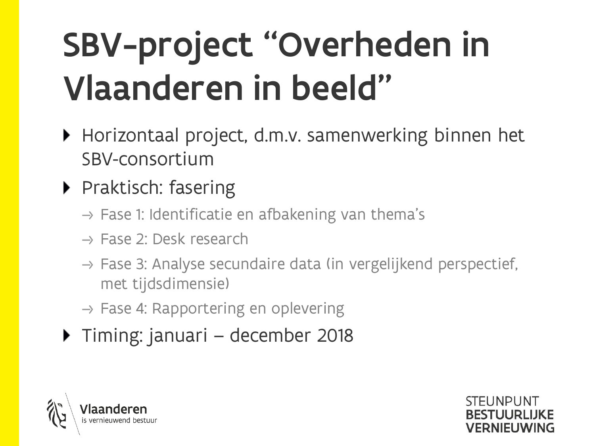## SBV-project "Overheden in Vlaanderen in beeld"

- ▶ Horizontaal project, d.m.v. samenwerking binnen het SBV-consortium
- ▶ Praktisch: fasering
	- $\rightarrow$  Fase 1: Identificatie en afbakening van thema's
	- $\rightarrow$  Fase 2: Desk research
	- $\rightarrow$  Fase 3: Analyse secundaire data (in vergelijkend perspectief, met tijdsdimensie)
	- $\rightarrow$  Fase 4: Rapportering en oplevering
- ▶ Timing: januari december 2018